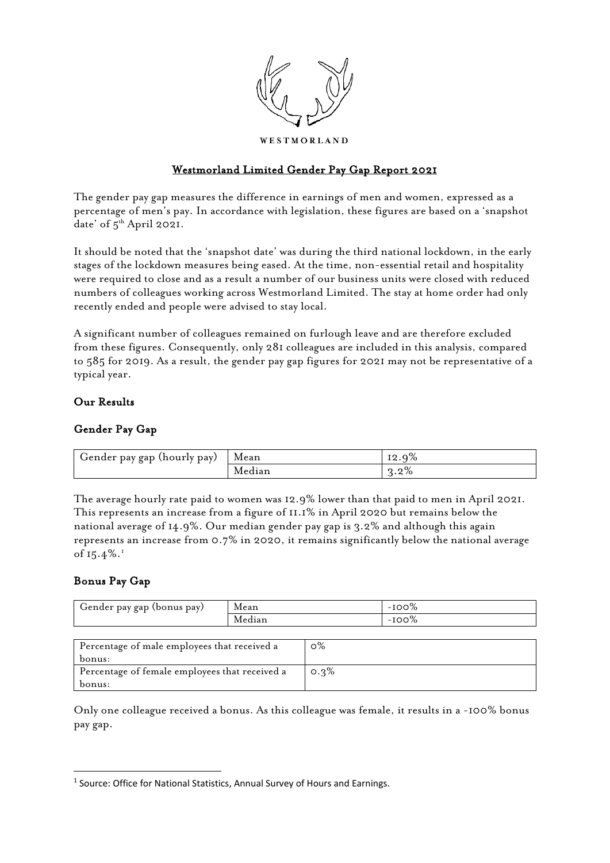

## Westmorland Limited Gender Pay Gap Report 2021

The gender pay gap measures the difference in earnings of men and women, expressed as a percentage of men's pay. In accordance with legislation, these figures are based on a 'snapshot date' of 5<sup>th</sup> April 2021.

It should be noted that the 'snapshot date' was during the third national lockdown, in the early stages of the lockdown measures being eased. At the time, non-essential retail and hospitality were required to close and as a result a number of our business units were closed with reduced numbers of colleagues working across Westmorland Limited. The stay at home order had only recently ended and people were advised to stay local.

A significant number of colleagues remained on furlough leave and are therefore excluded from these figures. Consequently, only 281 colleagues are included in this analysis, compared to 585 for 2019. As a result, the gender pay gap figures for 2021 may not be representative of a typical year.

### Our Results

# Gender Pay Gap

| Gender pay gap<br>(hourly pay)<br><b>.</b> | Mean   | $\circ$<br>ΤО<br>. .           |
|--------------------------------------------|--------|--------------------------------|
|                                            | Median | $\sim 0/$<br>$\sim$<br>'3.Z /0 |

The average hourly rate paid to women was 12.9% lower than that paid to men in April 2021. This represents an increase from a figure of 11.1% in April 2020 but remains below the national average of 14.9%. Our median gender pay gap is 3.2% and although this again represents an increase from 0.7% in 2020, it remains significantly below the national average of  $15.4\%$  $15.4\%$ .

# Bonus Pay Gap

| Gender pay gap '<br>(bonus pay) | Mean   | UU 70<br>$\sim$ |
|---------------------------------|--------|-----------------|
|                                 | Median | -<br>OO 70      |
|                                 |        |                 |

| Percentage of male employees that received a   | $\circ\%$ |
|------------------------------------------------|-----------|
| bonus:                                         |           |
| Percentage of female employees that received a | $0.3\%$   |
| bonus:                                         |           |

Only one colleague received a bonus. As this colleague was female, it results in a -100% bonus pay gap.

<span id="page-0-0"></span><sup>&</sup>lt;sup>1</sup> Source: Office for National Statistics, Annual Survey of Hours and Earnings.